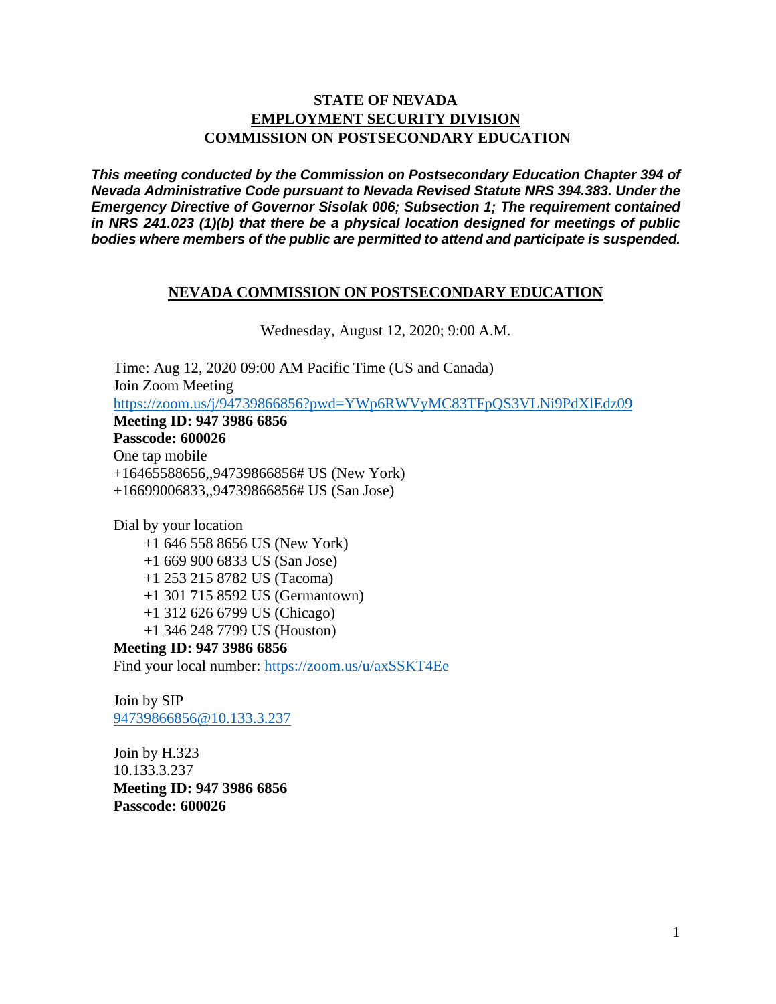### **STATE OF NEVADA EMPLOYMENT SECURITY DIVISION COMMISSION ON POSTSECONDARY EDUCATION**

*This meeting conducted by the Commission on Postsecondary Education Chapter 394 of Nevada Administrative Code pursuant to Nevada Revised Statute NRS 394.383. Under the Emergency Directive of Governor Sisolak 006; Subsection 1; The requirement contained in NRS 241.023 (1)(b) that there be a physical location designed for meetings of public bodies where members of the public are permitted to attend and participate is suspended.*

#### **NEVADA COMMISSION ON POSTSECONDARY EDUCATION**

Wednesday, August 12, 2020; 9:00 A.M.

Time: Aug 12, 2020 09:00 AM Pacific Time (US and Canada) Join Zoom Meeting <https://zoom.us/j/94739866856?pwd=YWp6RWVyMC83TFpQS3VLNi9PdXlEdz09> **Meeting ID: 947 3986 6856 Passcode: 600026** One tap mobile +16465588656,,94739866856# US (New York) +16699006833,,94739866856# US (San Jose)

Dial by your location

+1 646 558 8656 US (New York)

- +1 669 900 6833 US (San Jose)
- +1 253 215 8782 US (Tacoma)
- +1 301 715 8592 US (Germantown)
- +1 312 626 6799 US (Chicago)
- +1 346 248 7799 US (Houston)

**Meeting ID: 947 3986 6856** Find your local number:<https://zoom.us/u/axSSKT4Ee>

Join by SIP [94739866856@10.133.3.237](mailto:94739866856@10.133.3.237)

Join by H.323 10.133.3.237 **Meeting ID: 947 3986 6856 Passcode: 600026**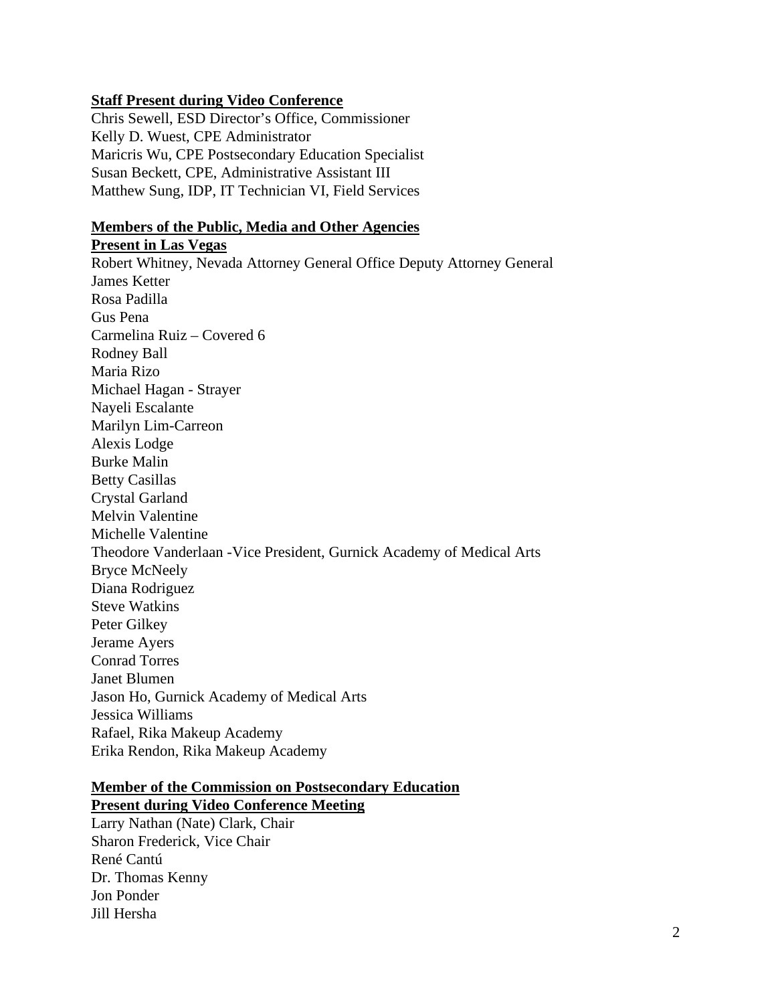#### **Staff Present during Video Conference**

Chris Sewell, ESD Director's Office, Commissioner Kelly D. Wuest, CPE Administrator Maricris Wu, CPE Postsecondary Education Specialist Susan Beckett, CPE, Administrative Assistant III Matthew Sung, IDP, IT Technician VI, Field Services

#### **Members of the Public, Media and Other Agencies**

**Present in Las Vegas** Robert Whitney, Nevada Attorney General Office Deputy Attorney General James Ketter Rosa Padilla Gus Pena Carmelina Ruiz – Covered 6 Rodney Ball Maria Rizo Michael Hagan - Strayer Nayeli Escalante Marilyn Lim-Carreon Alexis Lodge Burke Malin Betty Casillas Crystal Garland Melvin Valentine Michelle Valentine Theodore Vanderlaan -Vice President, Gurnick Academy of Medical Arts Bryce McNeely Diana Rodriguez Steve Watkins Peter Gilkey Jerame Ayers Conrad Torres Janet Blumen Jason Ho, Gurnick Academy of Medical Arts Jessica Williams Rafael, Rika Makeup Academy Erika Rendon, Rika Makeup Academy

#### **Member of the Commission on Postsecondary Education Present during Video Conference Meeting**

Larry Nathan (Nate) Clark, Chair Sharon Frederick, Vice Chair René Cantú Dr. Thomas Kenny Jon Ponder Jill Hersha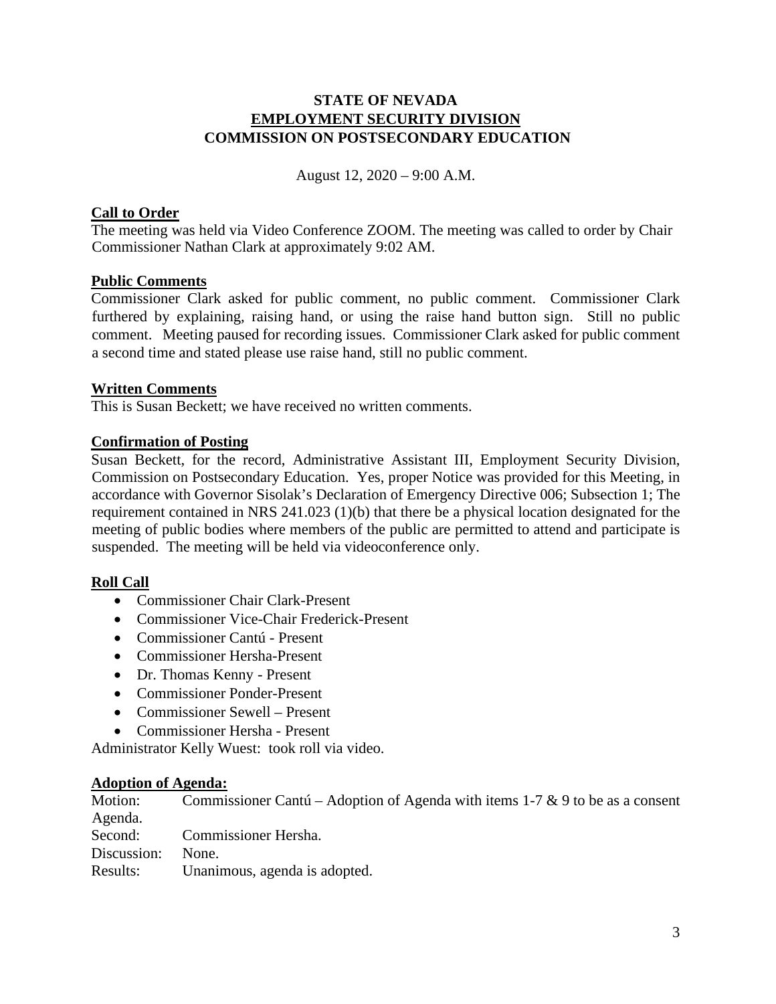## **STATE OF NEVADA EMPLOYMENT SECURITY DIVISION COMMISSION ON POSTSECONDARY EDUCATION**

August 12, 2020 – 9:00 A.M.

## **Call to Order**

The meeting was held via Video Conference ZOOM. The meeting was called to order by Chair Commissioner Nathan Clark at approximately 9:02 AM.

### **Public Comments**

Commissioner Clark asked for public comment, no public comment. Commissioner Clark furthered by explaining, raising hand, or using the raise hand button sign. Still no public comment. Meeting paused for recording issues. Commissioner Clark asked for public comment a second time and stated please use raise hand, still no public comment.

### **Written Comments**

This is Susan Beckett; we have received no written comments.

# **Confirmation of Posting**

Susan Beckett, for the record, Administrative Assistant III, Employment Security Division, Commission on Postsecondary Education. Yes, proper Notice was provided for this Meeting, in accordance with Governor Sisolak's Declaration of Emergency Directive 006; Subsection 1; The requirement contained in NRS 241.023 (1)(b) that there be a physical location designated for the meeting of public bodies where members of the public are permitted to attend and participate is suspended. The meeting will be held via videoconference only.

# **Roll Call**

- Commissioner Chair Clark-Present
- Commissioner Vice-Chair Frederick-Present
- Commissioner Cantú Present
- Commissioner Hersha-Present
- Dr. Thomas Kenny Present
- Commissioner Ponder-Present
- Commissioner Sewell Present
- Commissioner Hersha Present

Administrator Kelly Wuest: took roll via video.

#### **Adoption of Agenda:**

Motion: Commissioner Cantú – Adoption of Agenda with items 1-7 & 9 to be as a consent Agenda. Second: Commissioner Hersha. Discussion: None. Results: Unanimous, agenda is adopted.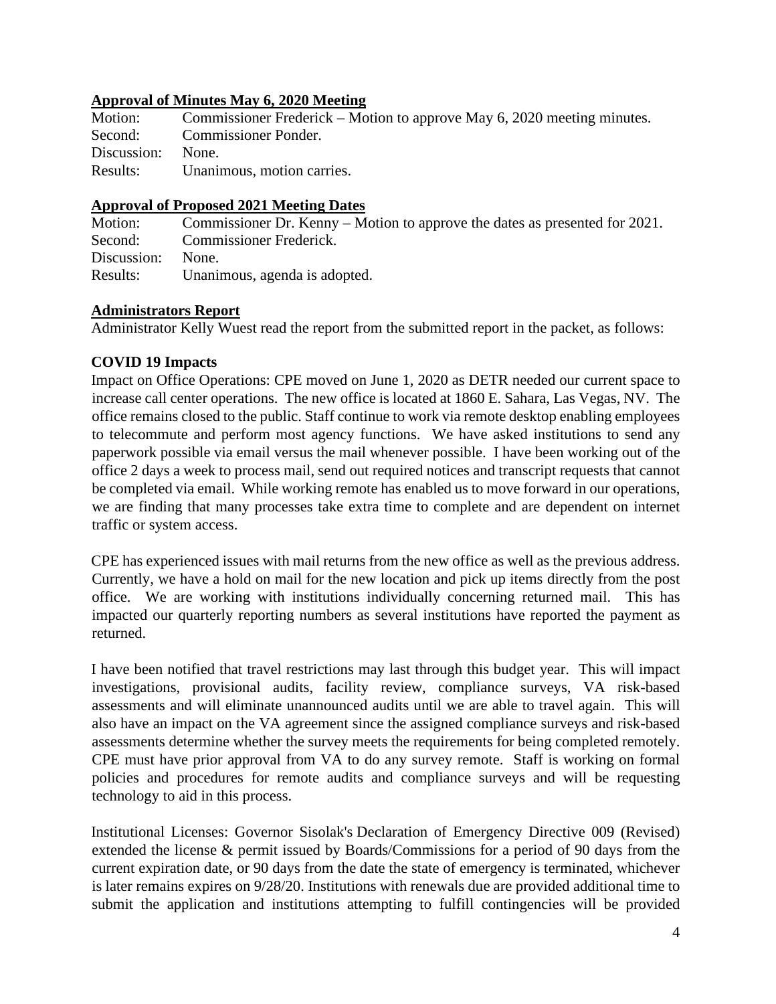### **Approval of Minutes May 6, 2020 Meeting**

| Motion:           | Commissioner Frederick – Motion to approve May 6, 2020 meeting minutes. |
|-------------------|-------------------------------------------------------------------------|
| Second:           | <b>Commissioner Ponder.</b>                                             |
| Discussion: None. |                                                                         |
| Results:          | Unanimous, motion carries.                                              |

#### **Approval of Proposed 2021 Meeting Dates**

Motion: Commissioner Dr. Kenny – Motion to approve the dates as presented for 2021. Second: Commissioner Frederick. Discussion: None. Results: Unanimous, agenda is adopted.

### **Administrators Report**

Administrator Kelly Wuest read the report from the submitted report in the packet, as follows:

# **COVID 19 Impacts**

Impact on Office Operations: CPE moved on June 1, 2020 as DETR needed our current space to increase call center operations. The new office is located at 1860 E. Sahara, Las Vegas, NV. The office remains closed to the public. Staff continue to work via remote desktop enabling employees to telecommute and perform most agency functions. We have asked institutions to send any paperwork possible via email versus the mail whenever possible. I have been working out of the office 2 days a week to process mail, send out required notices and transcript requests that cannot be completed via email. While working remote has enabled us to move forward in our operations, we are finding that many processes take extra time to complete and are dependent on internet traffic or system access.

CPE has experienced issues with mail returns from the new office as well as the previous address. Currently, we have a hold on mail for the new location and pick up items directly from the post office. We are working with institutions individually concerning returned mail. This has impacted our quarterly reporting numbers as several institutions have reported the payment as returned.

I have been notified that travel restrictions may last through this budget year. This will impact investigations, provisional audits, facility review, compliance surveys, VA risk-based assessments and will eliminate unannounced audits until we are able to travel again. This will also have an impact on the VA agreement since the assigned compliance surveys and risk-based assessments determine whether the survey meets the requirements for being completed remotely. CPE must have prior approval from VA to do any survey remote. Staff is working on formal policies and procedures for remote audits and compliance surveys and will be requesting technology to aid in this process.

Institutional Licenses: Governor Sisolak's Declaration of Emergency Directive 009 (Revised) extended the license & permit issued by Boards/Commissions for a period of 90 days from the current expiration date, or 90 days from the date the state of emergency is terminated, whichever is later remains expires on 9/28/20. Institutions with renewals due are provided additional time to submit the application and institutions attempting to fulfill contingencies will be provided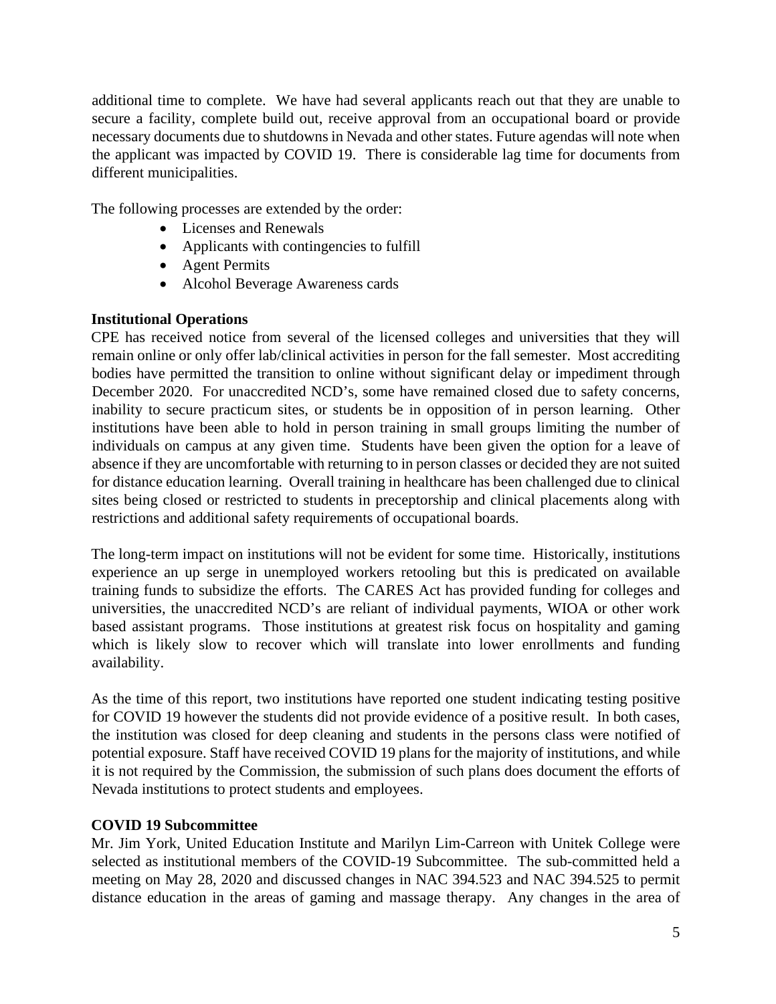additional time to complete. We have had several applicants reach out that they are unable to secure a facility, complete build out, receive approval from an occupational board or provide necessary documents due to shutdowns in Nevada and other states. Future agendas will note when the applicant was impacted by COVID 19. There is considerable lag time for documents from different municipalities.

The following processes are extended by the order:

- Licenses and Renewals
- Applicants with contingencies to fulfill
- Agent Permits
- Alcohol Beverage Awareness cards

# **Institutional Operations**

CPE has received notice from several of the licensed colleges and universities that they will remain online or only offer lab/clinical activities in person for the fall semester. Most accrediting bodies have permitted the transition to online without significant delay or impediment through December 2020. For unaccredited NCD's, some have remained closed due to safety concerns, inability to secure practicum sites, or students be in opposition of in person learning. Other institutions have been able to hold in person training in small groups limiting the number of individuals on campus at any given time. Students have been given the option for a leave of absence if they are uncomfortable with returning to in person classes or decided they are not suited for distance education learning. Overall training in healthcare has been challenged due to clinical sites being closed or restricted to students in preceptorship and clinical placements along with restrictions and additional safety requirements of occupational boards.

The long-term impact on institutions will not be evident for some time. Historically, institutions experience an up serge in unemployed workers retooling but this is predicated on available training funds to subsidize the efforts. The CARES Act has provided funding for colleges and universities, the unaccredited NCD's are reliant of individual payments, WIOA or other work based assistant programs. Those institutions at greatest risk focus on hospitality and gaming which is likely slow to recover which will translate into lower enrollments and funding availability.

As the time of this report, two institutions have reported one student indicating testing positive for COVID 19 however the students did not provide evidence of a positive result. In both cases, the institution was closed for deep cleaning and students in the persons class were notified of potential exposure. Staff have received COVID 19 plans for the majority of institutions, and while it is not required by the Commission, the submission of such plans does document the efforts of Nevada institutions to protect students and employees.

# **COVID 19 Subcommittee**

Mr. Jim York, United Education Institute and Marilyn Lim-Carreon with Unitek College were selected as institutional members of the COVID-19 Subcommittee. The sub-committed held a meeting on May 28, 2020 and discussed changes in NAC 394.523 and NAC 394.525 to permit distance education in the areas of gaming and massage therapy. Any changes in the area of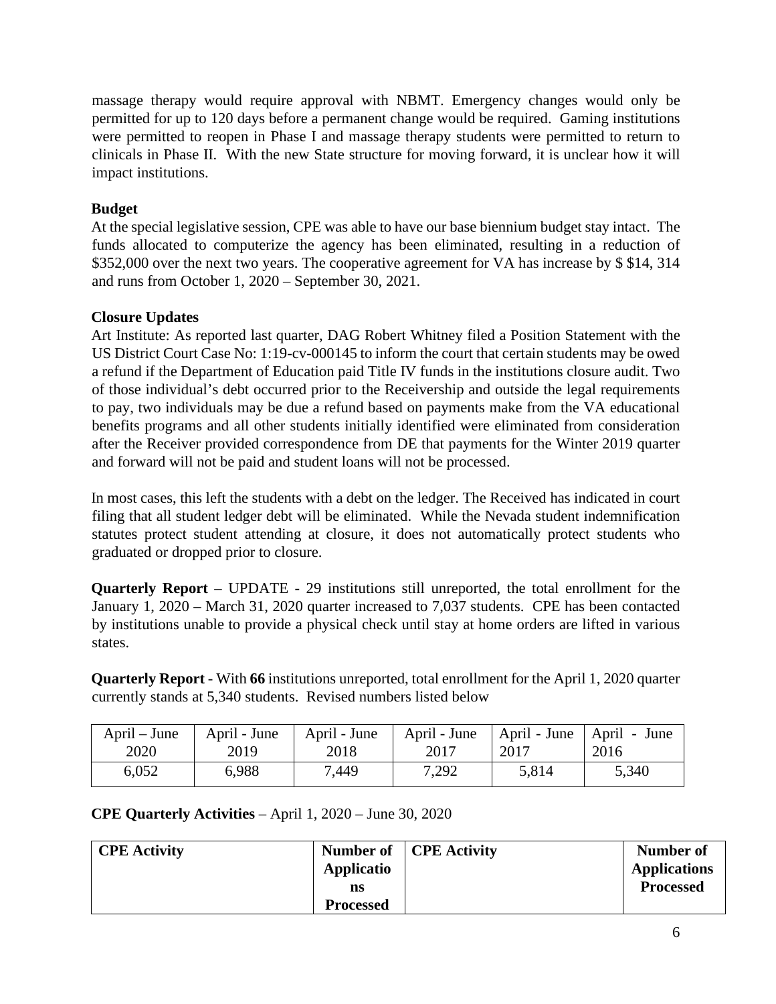massage therapy would require approval with NBMT. Emergency changes would only be permitted for up to 120 days before a permanent change would be required. Gaming institutions were permitted to reopen in Phase I and massage therapy students were permitted to return to clinicals in Phase II. With the new State structure for moving forward, it is unclear how it will impact institutions.

# **Budget**

At the special legislative session, CPE was able to have our base biennium budget stay intact. The funds allocated to computerize the agency has been eliminated, resulting in a reduction of \$352,000 over the next two years. The cooperative agreement for VA has increase by \$ \$14, 314 and runs from October 1, 2020 – September 30, 2021.

# **Closure Updates**

Art Institute: As reported last quarter, DAG Robert Whitney filed a Position Statement with the US District Court Case No: 1:19-cv-000145 to inform the court that certain students may be owed a refund if the Department of Education paid Title IV funds in the institutions closure audit. Two of those individual's debt occurred prior to the Receivership and outside the legal requirements to pay, two individuals may be due a refund based on payments make from the VA educational benefits programs and all other students initially identified were eliminated from consideration after the Receiver provided correspondence from DE that payments for the Winter 2019 quarter and forward will not be paid and student loans will not be processed.

In most cases, this left the students with a debt on the ledger. The Received has indicated in court filing that all student ledger debt will be eliminated. While the Nevada student indemnification statutes protect student attending at closure, it does not automatically protect students who graduated or dropped prior to closure.

**Quarterly Report** – UPDATE - 29 institutions still unreported, the total enrollment for the January 1, 2020 – March 31, 2020 quarter increased to 7,037 students. CPE has been contacted by institutions unable to provide a physical check until stay at home orders are lifted in various states.

**Quarterly Report** - With **66** institutions unreported, total enrollment for the April 1, 2020 quarter currently stands at 5,340 students. Revised numbers listed below

| $April - June$ | April - June | April - June | April - June | April - June | April - June |
|----------------|--------------|--------------|--------------|--------------|--------------|
| 2020           | 2019         | 2018         | 2017         | 2017         | 2016         |
| 6,052          | 6,988        | 7,449        | 7,292        | 5,814        | 5,340        |

**CPE Quarterly Activities** – April 1, 2020 – June 30, 2020

| <b>CPE Activity</b> |                  | Number of   CPE Activity | <b>Number of</b>    |
|---------------------|------------------|--------------------------|---------------------|
|                     | Applicatio       |                          | <b>Applications</b> |
|                     | ns               |                          | <b>Processed</b>    |
|                     | <b>Processed</b> |                          |                     |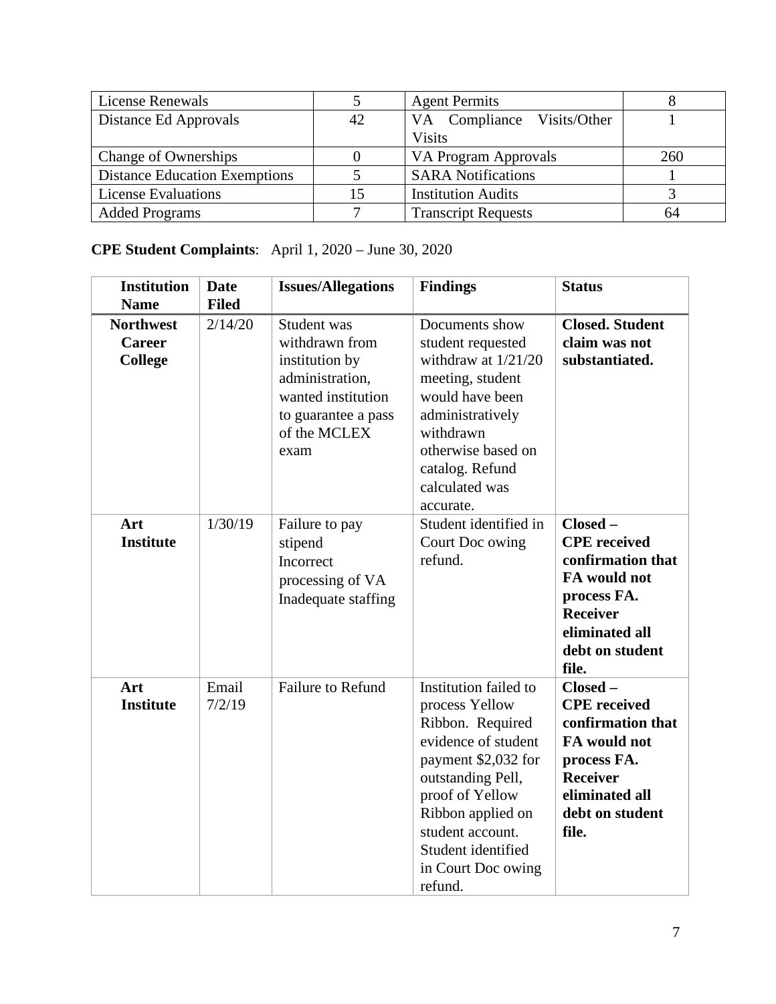| <b>License Renewals</b>              |    | <b>Agent Permits</b>       |     |
|--------------------------------------|----|----------------------------|-----|
| Distance Ed Approvals                | 42 | VA Compliance Visits/Other |     |
|                                      |    | <b>Visits</b>              |     |
| Change of Ownerships                 |    | VA Program Approvals       | 260 |
| <b>Distance Education Exemptions</b> |    | <b>SARA Notifications</b>  |     |
| <b>License Evaluations</b>           |    | <b>Institution Audits</b>  |     |
| <b>Added Programs</b>                |    | <b>Transcript Requests</b> | 64  |

# **CPE Student Complaints**: April 1, 2020 – June 30, 2020

| <b>Institution</b>                           | <b>Date</b>     | <b>Issues/Allegations</b>                                                                                                               | <b>Findings</b>                                                                                                                                                                                                                                   | <b>Status</b>                                                                                                                                       |
|----------------------------------------------|-----------------|-----------------------------------------------------------------------------------------------------------------------------------------|---------------------------------------------------------------------------------------------------------------------------------------------------------------------------------------------------------------------------------------------------|-----------------------------------------------------------------------------------------------------------------------------------------------------|
| <b>Name</b>                                  | <b>Filed</b>    |                                                                                                                                         |                                                                                                                                                                                                                                                   |                                                                                                                                                     |
| <b>Northwest</b><br>Career<br><b>College</b> | 2/14/20         | Student was<br>withdrawn from<br>institution by<br>administration,<br>wanted institution<br>to guarantee a pass<br>of the MCLEX<br>exam | Documents show<br>student requested<br>withdraw at $1/21/20$<br>meeting, student<br>would have been<br>administratively<br>withdrawn<br>otherwise based on<br>catalog. Refund<br>calculated was<br>accurate.                                      | <b>Closed. Student</b><br>claim was not<br>substantiated.                                                                                           |
| Art<br><b>Institute</b>                      | 1/30/19         | Failure to pay<br>stipend<br>Incorrect<br>processing of VA<br>Inadequate staffing                                                       | Student identified in<br>Court Doc owing<br>refund.                                                                                                                                                                                               | Closed-<br><b>CPE</b> received<br>confirmation that<br>FA would not<br>process FA.<br><b>Receiver</b><br>eliminated all<br>debt on student<br>file. |
| Art<br><b>Institute</b>                      | Email<br>7/2/19 | Failure to Refund                                                                                                                       | Institution failed to<br>process Yellow<br>Ribbon. Required<br>evidence of student<br>payment \$2,032 for<br>outstanding Pell,<br>proof of Yellow<br>Ribbon applied on<br>student account.<br>Student identified<br>in Court Doc owing<br>refund. | Closed-<br><b>CPE</b> received<br>confirmation that<br>FA would not<br>process FA.<br><b>Receiver</b><br>eliminated all<br>debt on student<br>file. |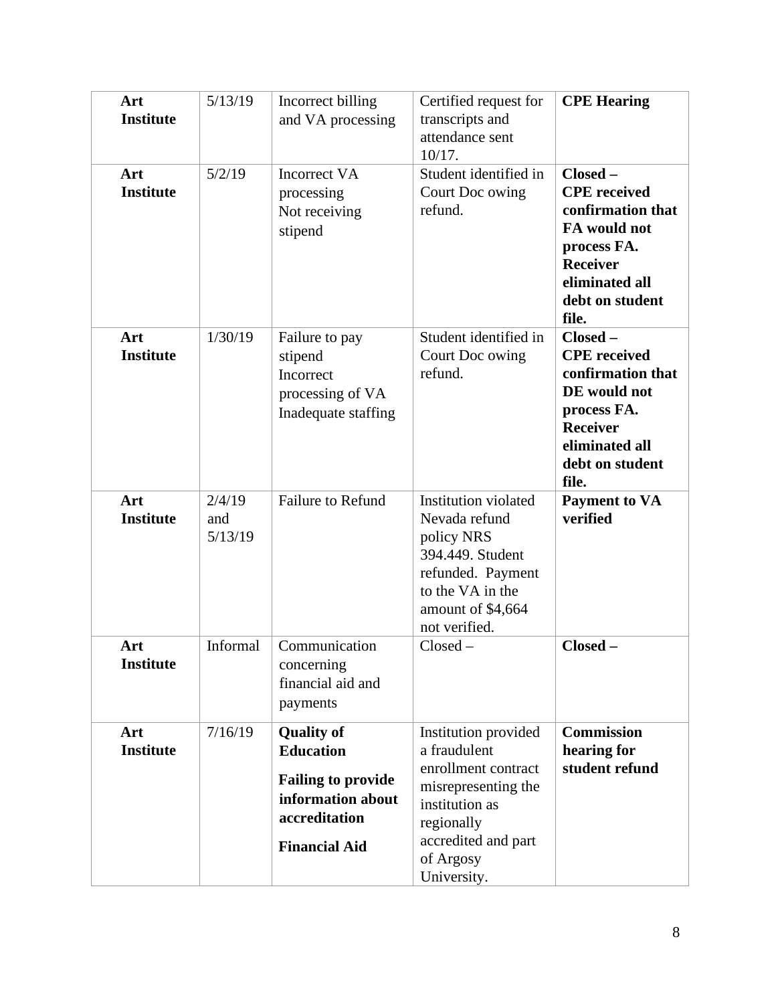| Art<br><b>Institute</b> | 5/13/19                  | Incorrect billing<br>and VA processing                                                                                           | Certified request for<br>transcripts and<br>attendance sent<br>10/17.                                                                                                 | <b>CPE Hearing</b>                                                                                                                                     |
|-------------------------|--------------------------|----------------------------------------------------------------------------------------------------------------------------------|-----------------------------------------------------------------------------------------------------------------------------------------------------------------------|--------------------------------------------------------------------------------------------------------------------------------------------------------|
| Art<br><b>Institute</b> | 5/2/19                   | <b>Incorrect VA</b><br>processing<br>Not receiving<br>stipend                                                                    | Student identified in<br>Court Doc owing<br>refund.                                                                                                                   | $Closed -$<br><b>CPE</b> received<br>confirmation that<br>FA would not<br>process FA.<br><b>Receiver</b><br>eliminated all<br>debt on student<br>file. |
| Art<br><b>Institute</b> | 1/30/19                  | Failure to pay<br>stipend<br>Incorrect<br>processing of VA<br>Inadequate staffing                                                | Student identified in<br>Court Doc owing<br>refund.                                                                                                                   | $Closed -$<br><b>CPE</b> received<br>confirmation that<br>DE would not<br>process FA.<br><b>Receiver</b><br>eliminated all<br>debt on student<br>file. |
| Art<br><b>Institute</b> | 2/4/19<br>and<br>5/13/19 | <b>Failure to Refund</b>                                                                                                         | Institution violated<br>Nevada refund<br>policy NRS<br>394.449. Student<br>refunded. Payment<br>to the VA in the<br>amount of \$4,664<br>not verified.                | <b>Payment to VA</b><br>verified                                                                                                                       |
| Art<br><b>Institute</b> | Informal                 | Communication<br>concerning<br>financial aid and<br>payments                                                                     | $Closed -$                                                                                                                                                            | Closed-                                                                                                                                                |
| Art<br><b>Institute</b> | 7/16/19                  | <b>Quality of</b><br><b>Education</b><br><b>Failing to provide</b><br>information about<br>accreditation<br><b>Financial Aid</b> | Institution provided<br>a fraudulent<br>enrollment contract<br>misrepresenting the<br>institution as<br>regionally<br>accredited and part<br>of Argosy<br>University. | <b>Commission</b><br>hearing for<br>student refund                                                                                                     |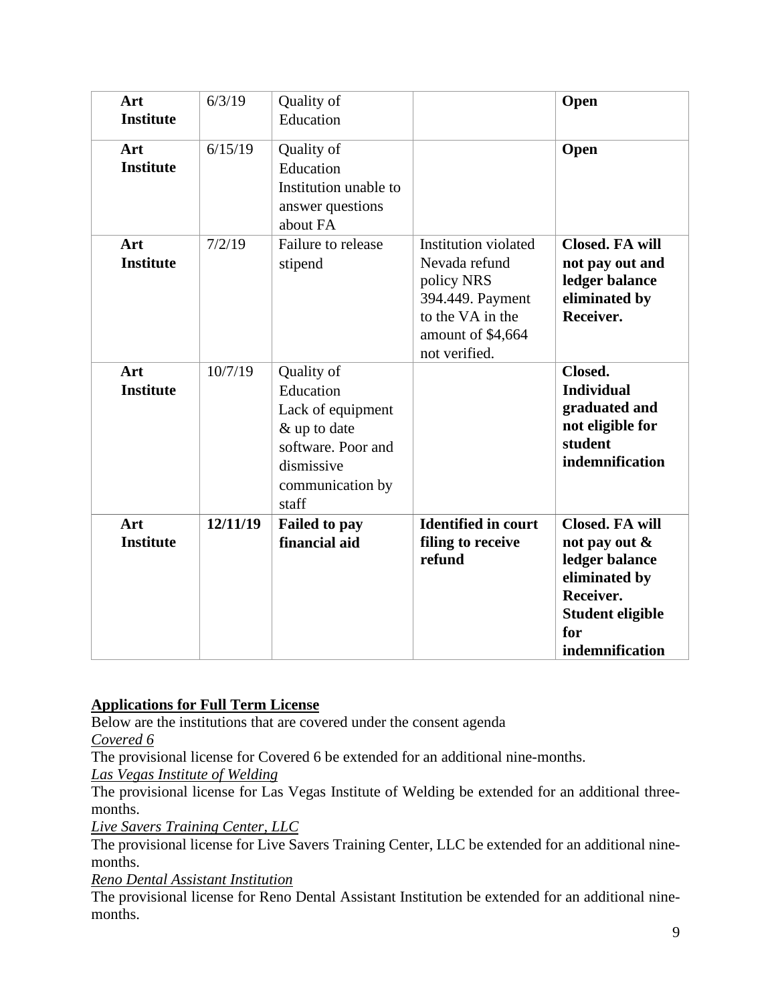| Art<br><b>Institute</b> | 6/3/19   | Quality of<br>Education                                                                                                       |                                                                                                                                   | Open                                                                                                                                            |
|-------------------------|----------|-------------------------------------------------------------------------------------------------------------------------------|-----------------------------------------------------------------------------------------------------------------------------------|-------------------------------------------------------------------------------------------------------------------------------------------------|
| Art<br><b>Institute</b> | 6/15/19  | Quality of<br>Education<br>Institution unable to<br>answer questions<br>about FA                                              |                                                                                                                                   | Open                                                                                                                                            |
| Art<br><b>Institute</b> | 7/2/19   | Failure to release<br>stipend                                                                                                 | Institution violated<br>Nevada refund<br>policy NRS<br>394.449. Payment<br>to the VA in the<br>amount of \$4,664<br>not verified. | <b>Closed. FA will</b><br>not pay out and<br>ledger balance<br>eliminated by<br>Receiver.                                                       |
| Art<br><b>Institute</b> | 10/7/19  | Quality of<br>Education<br>Lack of equipment<br>& up to date<br>software. Poor and<br>dismissive<br>communication by<br>staff |                                                                                                                                   | Closed.<br><b>Individual</b><br>graduated and<br>not eligible for<br>student<br>indemnification                                                 |
| Art<br><b>Institute</b> | 12/11/19 | <b>Failed to pay</b><br>financial aid                                                                                         | <b>Identified in court</b><br>filing to receive<br>refund                                                                         | <b>Closed. FA will</b><br>not pay out $\&$<br>ledger balance<br>eliminated by<br>Receiver.<br><b>Student eligible</b><br>for<br>indemnification |

# **Applications for Full Term License**

Below are the institutions that are covered under the consent agenda

*Covered 6*

The provisional license for Covered 6 be extended for an additional nine-months.

*Las Vegas Institute of Welding*

The provisional license for Las Vegas Institute of Welding be extended for an additional threemonths.

*Live Savers Training Center, LLC*

The provisional license for Live Savers Training Center, LLC be extended for an additional ninemonths.

*Reno Dental Assistant Institution*

The provisional license for Reno Dental Assistant Institution be extended for an additional ninemonths.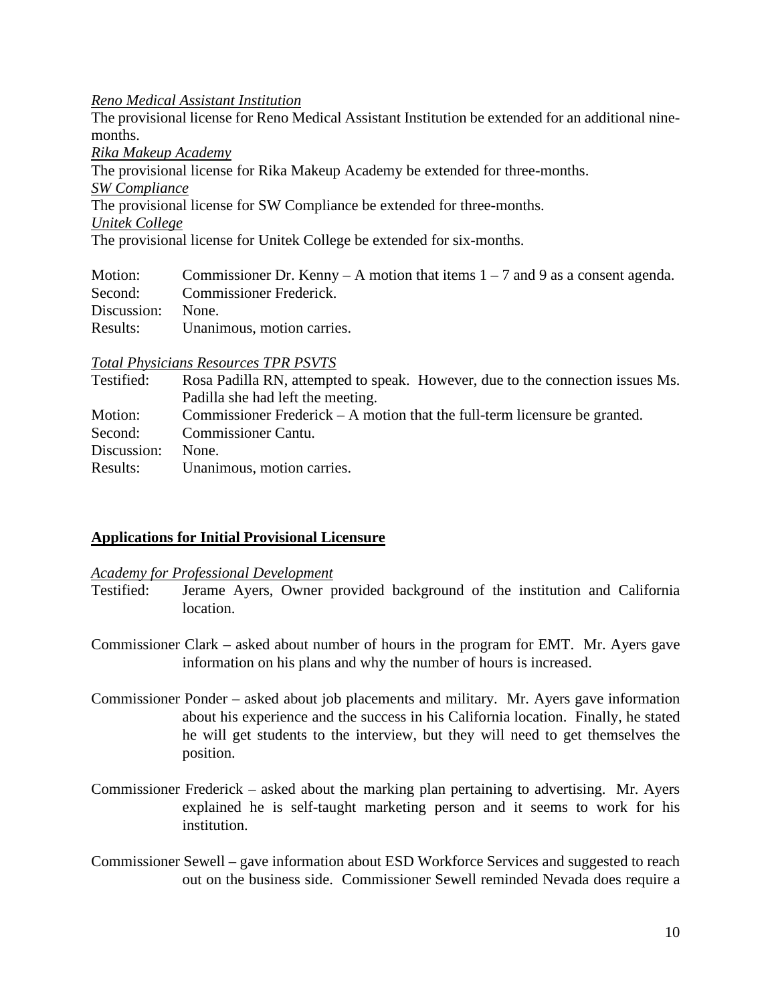#### *Reno Medical Assistant Institution*

The provisional license for Reno Medical Assistant Institution be extended for an additional ninemonths.

*Rika Makeup Academy*

The provisional license for Rika Makeup Academy be extended for three-months.

*SW Compliance*

The provisional license for SW Compliance be extended for three-months.

*Unitek College*

The provisional license for Unitek College be extended for six-months.

| Motion:           | Commissioner Dr. Kenny – A motion that items $1 - 7$ and 9 as a consent agenda. |
|-------------------|---------------------------------------------------------------------------------|
|                   | Second: Commissioner Frederick.                                                 |
| Discussion: None. |                                                                                 |
| Results:          | Unanimous, motion carries.                                                      |

#### *Total Physicians Resources TPR PSVTS*

| Testified:  | Rosa Padilla RN, attempted to speak. However, due to the connection issues Ms. |
|-------------|--------------------------------------------------------------------------------|
|             | Padilla she had left the meeting.                                              |
| Motion:     | Commissioner Frederick $- A$ motion that the full-term licensure be granted.   |
| Second:     | Commissioner Cantu.                                                            |
| Discussion: | None.                                                                          |
| Results:    | Unanimous, motion carries.                                                     |

# **Applications for Initial Provisional Licensure**

#### *Academy for Professional Development*

- Testified: Jerame Ayers, Owner provided background of the institution and California location.
- Commissioner Clark asked about number of hours in the program for EMT. Mr. Ayers gave information on his plans and why the number of hours is increased.
- Commissioner Ponder asked about job placements and military. Mr. Ayers gave information about his experience and the success in his California location. Finally, he stated he will get students to the interview, but they will need to get themselves the position.
- Commissioner Frederick asked about the marking plan pertaining to advertising. Mr. Ayers explained he is self-taught marketing person and it seems to work for his institution.
- Commissioner Sewell gave information about ESD Workforce Services and suggested to reach out on the business side. Commissioner Sewell reminded Nevada does require a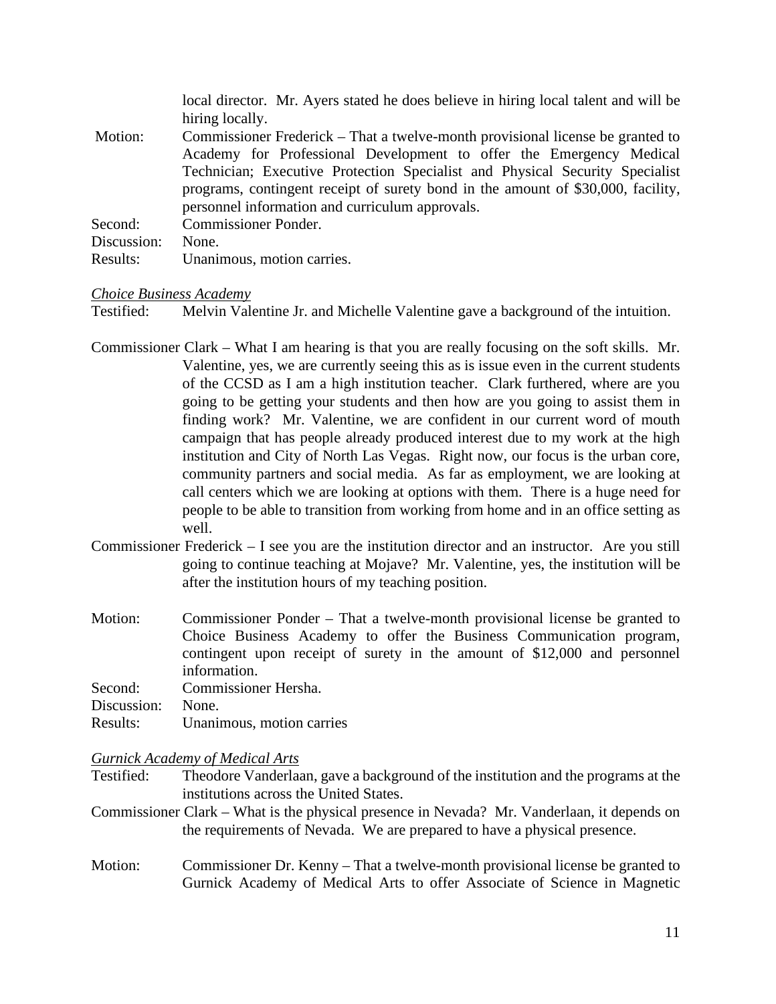local director. Mr. Ayers stated he does believe in hiring local talent and will be hiring locally.

- Motion: Commissioner Frederick That a twelve-month provisional license be granted to Academy for Professional Development to offer the Emergency Medical Technician; Executive Protection Specialist and Physical Security Specialist programs, contingent receipt of surety bond in the amount of \$30,000, facility, personnel information and curriculum approvals. Second: Commissioner Ponder.
- 
- Discussion: None.
- Results: Unanimous, motion carries.

#### *Choice Business Academy*

Testified: Melvin Valentine Jr. and Michelle Valentine gave a background of the intuition.

- Commissioner Clark What I am hearing is that you are really focusing on the soft skills. Mr. Valentine, yes, we are currently seeing this as is issue even in the current students of the CCSD as I am a high institution teacher. Clark furthered, where are you going to be getting your students and then how are you going to assist them in finding work? Mr. Valentine, we are confident in our current word of mouth campaign that has people already produced interest due to my work at the high institution and City of North Las Vegas. Right now, our focus is the urban core, community partners and social media. As far as employment, we are looking at call centers which we are looking at options with them. There is a huge need for people to be able to transition from working from home and in an office setting as well.
- Commissioner Frederick I see you are the institution director and an instructor. Are you still going to continue teaching at Mojave? Mr. Valentine, yes, the institution will be after the institution hours of my teaching position.
- Motion: Commissioner Ponder That a twelve-month provisional license be granted to Choice Business Academy to offer the Business Communication program, contingent upon receipt of surety in the amount of \$12,000 and personnel information.

Second: Commissioner Hersha.

Discussion: None.

Results: Unanimous, motion carries

#### *Gurnick Academy of Medical Arts*

Testified: Theodore Vanderlaan, gave a background of the institution and the programs at the institutions across the United States.

- Commissioner Clark What is the physical presence in Nevada? Mr. Vanderlaan, it depends on the requirements of Nevada. We are prepared to have a physical presence.
- Motion: Commissioner Dr. Kenny That a twelve-month provisional license be granted to Gurnick Academy of Medical Arts to offer Associate of Science in Magnetic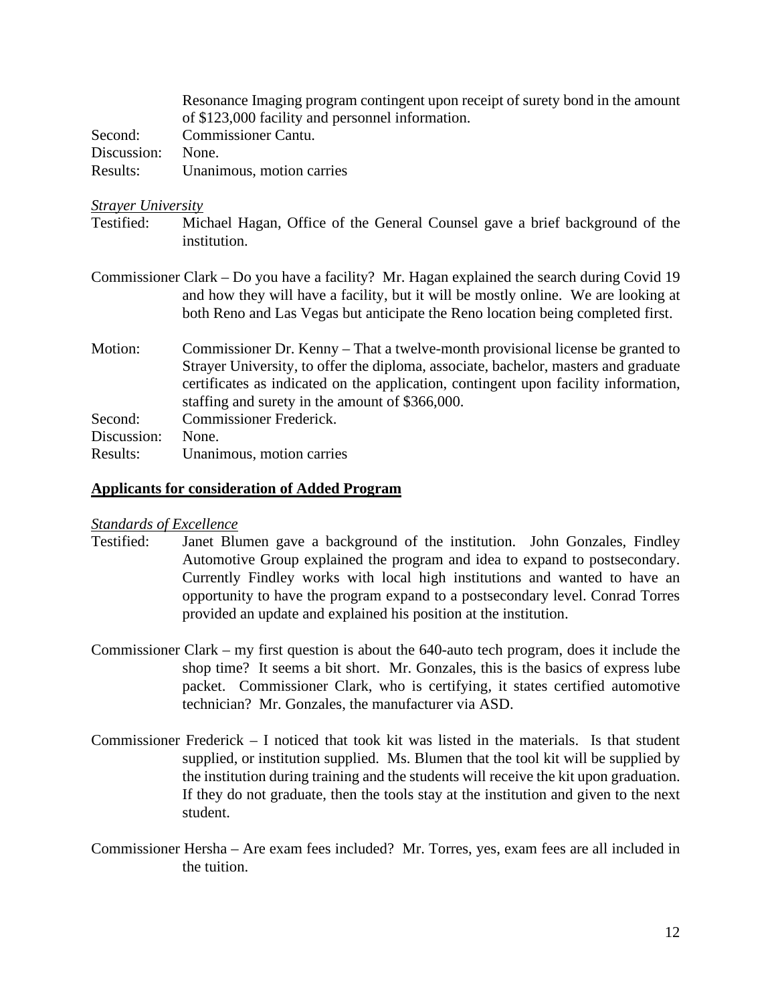|             | Resonance Imaging program contingent upon receipt of surety bond in the amount |
|-------------|--------------------------------------------------------------------------------|
|             | of \$123,000 facility and personnel information.                               |
| Second:     | Commissioner Cantu.                                                            |
| Discussion: | None.                                                                          |
| Results:    | Unanimous, motion carries                                                      |

#### *Strayer University*

- Testified: Michael Hagan, Office of the General Counsel gave a brief background of the institution.
- Commissioner Clark Do you have a facility? Mr. Hagan explained the search during Covid 19 and how they will have a facility, but it will be mostly online. We are looking at both Reno and Las Vegas but anticipate the Reno location being completed first.
- Motion: Commissioner Dr. Kenny That a twelve-month provisional license be granted to Strayer University, to offer the diploma, associate, bachelor, masters and graduate certificates as indicated on the application, contingent upon facility information, staffing and surety in the amount of \$366,000. Second: Commissioner Frederick. Discussion: None. Results: Unanimous, motion carries

#### **Applicants for consideration of Added Program**

#### *Standards of Excellence*

- Testified: Janet Blumen gave a background of the institution. John Gonzales, Findley Automotive Group explained the program and idea to expand to postsecondary. Currently Findley works with local high institutions and wanted to have an opportunity to have the program expand to a postsecondary level. Conrad Torres provided an update and explained his position at the institution.
- Commissioner Clark my first question is about the 640-auto tech program, does it include the shop time? It seems a bit short. Mr. Gonzales, this is the basics of express lube packet. Commissioner Clark, who is certifying, it states certified automotive technician? Mr. Gonzales, the manufacturer via ASD.
- Commissioner Frederick I noticed that took kit was listed in the materials. Is that student supplied, or institution supplied. Ms. Blumen that the tool kit will be supplied by the institution during training and the students will receive the kit upon graduation. If they do not graduate, then the tools stay at the institution and given to the next student.
- Commissioner Hersha Are exam fees included? Mr. Torres, yes, exam fees are all included in the tuition.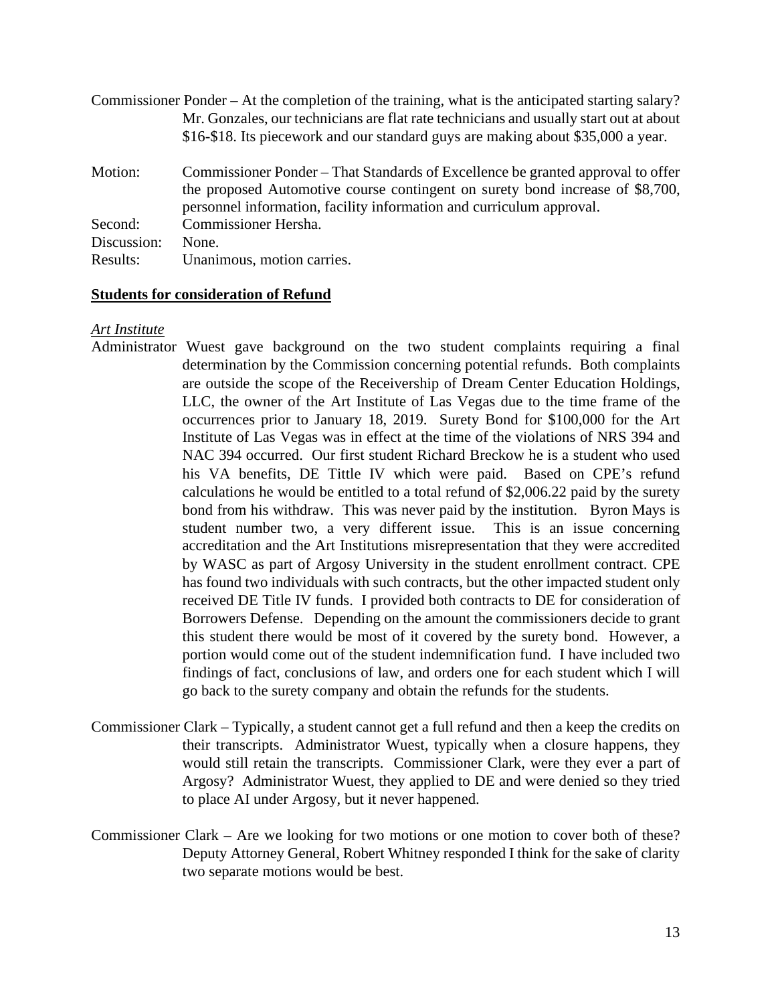Commissioner Ponder – At the completion of the training, what is the anticipated starting salary? Mr. Gonzales, our technicians are flat rate technicians and usually start out at about \$16-\$18. Its piecework and our standard guys are making about \$35,000 a year. Motion: Commissioner Ponder – That Standards of Excellence be granted approval to offer the proposed Automotive course contingent on surety bond increase of \$8,700, personnel information, facility information and curriculum approval. Second: Commissioner Hersha. Discussion: None. Results: Unanimous, motion carries.

# **Students for consideration of Refund**

#### *Art Institute*

- Administrator Wuest gave background on the two student complaints requiring a final determination by the Commission concerning potential refunds. Both complaints are outside the scope of the Receivership of Dream Center Education Holdings, LLC, the owner of the Art Institute of Las Vegas due to the time frame of the occurrences prior to January 18, 2019. Surety Bond for \$100,000 for the Art Institute of Las Vegas was in effect at the time of the violations of NRS 394 and NAC 394 occurred. Our first student Richard Breckow he is a student who used his VA benefits, DE Tittle IV which were paid. Based on CPE's refund calculations he would be entitled to a total refund of \$2,006.22 paid by the surety bond from his withdraw. This was never paid by the institution. Byron Mays is student number two, a very different issue. This is an issue concerning accreditation and the Art Institutions misrepresentation that they were accredited by WASC as part of Argosy University in the student enrollment contract. CPE has found two individuals with such contracts, but the other impacted student only received DE Title IV funds. I provided both contracts to DE for consideration of Borrowers Defense. Depending on the amount the commissioners decide to grant this student there would be most of it covered by the surety bond. However, a portion would come out of the student indemnification fund. I have included two findings of fact, conclusions of law, and orders one for each student which I will go back to the surety company and obtain the refunds for the students.
- Commissioner Clark Typically, a student cannot get a full refund and then a keep the credits on their transcripts. Administrator Wuest, typically when a closure happens, they would still retain the transcripts. Commissioner Clark, were they ever a part of Argosy? Administrator Wuest, they applied to DE and were denied so they tried to place AI under Argosy, but it never happened.
- Commissioner Clark Are we looking for two motions or one motion to cover both of these? Deputy Attorney General, Robert Whitney responded I think for the sake of clarity two separate motions would be best.